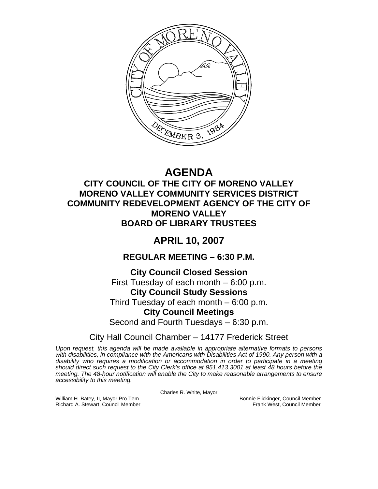

# **AGENDA**

# **CITY COUNCIL OF THE CITY OF MORENO VALLEY MORENO VALLEY COMMUNITY SERVICES DISTRICT COMMUNITY REDEVELOPMENT AGENCY OF THE CITY OF MORENO VALLEY BOARD OF LIBRARY TRUSTEES**

# **APRIL 10, 2007**

# **REGULAR MEETING – 6:30 P.M.**

# **City Council Closed Session**

First Tuesday of each month – 6:00 p.m.

# **City Council Study Sessions**

Third Tuesday of each month – 6:00 p.m.

# **City Council Meetings**

Second and Fourth Tuesdays – 6:30 p.m.

# City Hall Council Chamber – 14177 Frederick Street

*Upon request, this agenda will be made available in appropriate alternative formats to persons with disabilities, in compliance with the Americans with Disabilities Act of 1990. Any person with a disability who requires a modification or accommodation in order to participate in a meeting should direct such request to the City Clerk's office at 951.413.3001 at least 48 hours before the meeting. The 48-hour notification will enable the City to make reasonable arrangements to ensure accessibility to this meeting.* 

Charles R. White, Mayor

William H. Batey, II, Mayor Pro Tem Bonnie Flickinger, Council Member<br>Richard A. Stewart, Council Member Bonnie Frank West, Council Member Richard A. Stewart, Council Member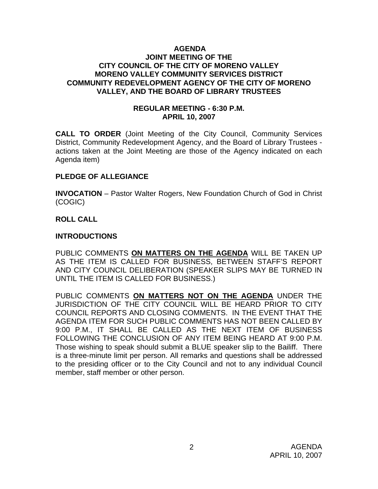#### **AGENDA JOINT MEETING OF THE CITY COUNCIL OF THE CITY OF MORENO VALLEY MORENO VALLEY COMMUNITY SERVICES DISTRICT COMMUNITY REDEVELOPMENT AGENCY OF THE CITY OF MORENO VALLEY, AND THE BOARD OF LIBRARY TRUSTEES**

#### **REGULAR MEETING - 6:30 P.M. APRIL 10, 2007**

**CALL TO ORDER** (Joint Meeting of the City Council, Community Services District, Community Redevelopment Agency, and the Board of Library Trustees actions taken at the Joint Meeting are those of the Agency indicated on each Agenda item)

#### **PLEDGE OF ALLEGIANCE**

**INVOCATION** – Pastor Walter Rogers, New Foundation Church of God in Christ (COGIC)

## **ROLL CALL**

#### **INTRODUCTIONS**

PUBLIC COMMENTS **ON MATTERS ON THE AGENDA** WILL BE TAKEN UP AS THE ITEM IS CALLED FOR BUSINESS, BETWEEN STAFF'S REPORT AND CITY COUNCIL DELIBERATION (SPEAKER SLIPS MAY BE TURNED IN UNTIL THE ITEM IS CALLED FOR BUSINESS.)

PUBLIC COMMENTS **ON MATTERS NOT ON THE AGENDA** UNDER THE JURISDICTION OF THE CITY COUNCIL WILL BE HEARD PRIOR TO CITY COUNCIL REPORTS AND CLOSING COMMENTS. IN THE EVENT THAT THE AGENDA ITEM FOR SUCH PUBLIC COMMENTS HAS NOT BEEN CALLED BY 9:00 P.M., IT SHALL BE CALLED AS THE NEXT ITEM OF BUSINESS FOLLOWING THE CONCLUSION OF ANY ITEM BEING HEARD AT 9:00 P.M. Those wishing to speak should submit a BLUE speaker slip to the Bailiff. There is a three-minute limit per person. All remarks and questions shall be addressed to the presiding officer or to the City Council and not to any individual Council member, staff member or other person.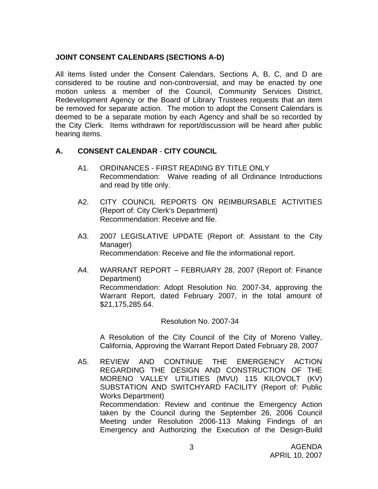# **JOINT CONSENT CALENDARS (SECTIONS A-D)**

All items listed under the Consent Calendars, Sections A, B, C, and D are considered to be routine and non-controversial, and may be enacted by one motion unless a member of the Council, Community Services District, Redevelopment Agency or the Board of Library Trustees requests that an item be removed for separate action. The motion to adopt the Consent Calendars is deemed to be a separate motion by each Agency and shall be so recorded by the City Clerk. Items withdrawn for report/discussion will be heard after public hearing items.

# **A. CONSENT CALENDAR** - **CITY COUNCIL**

- A1. ORDINANCES FIRST READING BY TITLE ONLY Recommendation: Waive reading of all Ordinance Introductions and read by title only.
- A2. CITY COUNCIL REPORTS ON REIMBURSABLE ACTIVITIES (Report of: City Clerk's Department) Recommendation: Receive and file.
- A3. 2007 LEGISLATIVE UPDATE (Report of: Assistant to the City Manager) Recommendation: Receive and file the informational report.
- A4. WARRANT REPORT FEBRUARY 28, 2007 (Report of: Finance Department) Recommendation: Adopt Resolution No. 2007-34, approving the Warrant Report, dated February 2007, in the total amount of \$21,175,285.64.

#### Resolution No. 2007-34

A Resolution of the City Council of the City of Moreno Valley, California, Approving the Warrant Report Dated February 28, 2007

A5. REVIEW AND CONTINUE THE EMERGENCY ACTION REGARDING THE DESIGN AND CONSTRUCTION OF THE MORENO VALLEY UTILITIES (MVU) 115 KILOVOLT (KV) SUBSTATION AND SWITCHYARD FACILITY (Report of: Public Works Department) Recommendation: Review and continue the Emergency Action taken by the Council during the September 26, 2006 Council Meeting under Resolution 2006-113 Making Findings of an Emergency and Authorizing the Execution of the Design-Build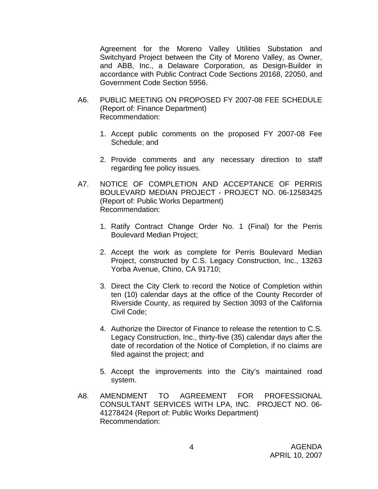Agreement for the Moreno Valley Utilities Substation and Switchyard Project between the City of Moreno Valley, as Owner, and ABB, Inc., a Delaware Corporation, as Design-Builder in accordance with Public Contract Code Sections 20168, 22050, and Government Code Section 5956.

- A6. PUBLIC MEETING ON PROPOSED FY 2007-08 FEE SCHEDULE (Report of: Finance Department) Recommendation:
	- 1. Accept public comments on the proposed FY 2007-08 Fee Schedule; and
	- 2. Provide comments and any necessary direction to staff regarding fee policy issues.
- A7. NOTICE OF COMPLETION AND ACCEPTANCE OF PERRIS BOULEVARD MEDIAN PROJECT - PROJECT NO. 06-12583425 (Report of: Public Works Department) Recommendation:
	- 1. Ratify Contract Change Order No. 1 (Final) for the Perris Boulevard Median Project;
	- 2. Accept the work as complete for Perris Boulevard Median Project, constructed by C.S. Legacy Construction, Inc., 13263 Yorba Avenue, Chino, CA 91710;
	- 3. Direct the City Clerk to record the Notice of Completion within ten (10) calendar days at the office of the County Recorder of Riverside County, as required by Section 3093 of the California Civil Code;
	- 4. Authorize the Director of Finance to release the retention to C.S. Legacy Construction, Inc., thirty-five (35) calendar days after the date of recordation of the Notice of Completion, if no claims are filed against the project; and
	- 5. Accept the improvements into the City's maintained road system.
- A8. AMENDMENT TO AGREEMENT FOR PROFESSIONAL CONSULTANT SERVICES WITH LPA, INC. PROJECT NO. 06- 41278424 (Report of: Public Works Department) Recommendation: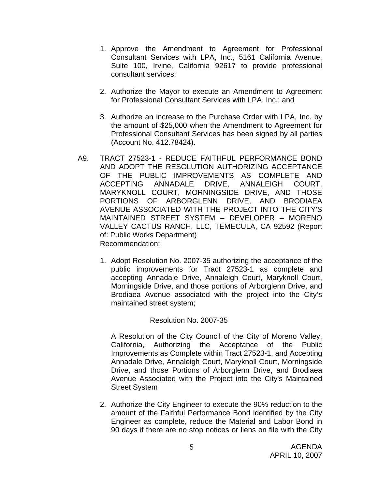- 1. Approve the Amendment to Agreement for Professional Consultant Services with LPA, Inc., 5161 California Avenue, Suite 100, Irvine, California 92617 to provide professional consultant services;
- 2. Authorize the Mayor to execute an Amendment to Agreement for Professional Consultant Services with LPA, Inc.; and
- 3. Authorize an increase to the Purchase Order with LPA, Inc. by the amount of \$25,000 when the Amendment to Agreement for Professional Consultant Services has been signed by all parties (Account No. 412.78424).
- A9. TRACT 27523-1 REDUCE FAITHFUL PERFORMANCE BOND AND ADOPT THE RESOLUTION AUTHORIZING ACCEPTANCE OF THE PUBLIC IMPROVEMENTS AS COMPLETE AND ACCEPTING ANNADALE DRIVE, ANNALEIGH COURT, MARYKNOLL COURT, MORNINGSIDE DRIVE, AND THOSE PORTIONS OF ARBORGLENN DRIVE, AND BRODIAEA AVENUE ASSOCIATED WITH THE PROJECT INTO THE CITY'S MAINTAINED STREET SYSTEM – DEVELOPER – MORENO VALLEY CACTUS RANCH, LLC, TEMECULA, CA 92592 (Report of: Public Works Department) Recommendation:
	- 1. Adopt Resolution No. 2007-35 authorizing the acceptance of the public improvements for Tract 27523-1 as complete and accepting Annadale Drive, Annaleigh Court, Maryknoll Court, Morningside Drive, and those portions of Arborglenn Drive, and Brodiaea Avenue associated with the project into the City's maintained street system;

#### Resolution No. 2007-35

A Resolution of the City Council of the City of Moreno Valley, California, Authorizing the Acceptance of the Public Improvements as Complete within Tract 27523-1, and Accepting Annadale Drive, Annaleigh Court, Maryknoll Court, Morningside Drive, and those Portions of Arborglenn Drive, and Brodiaea Avenue Associated with the Project into the City's Maintained Street System

2. Authorize the City Engineer to execute the 90% reduction to the amount of the Faithful Performance Bond identified by the City Engineer as complete, reduce the Material and Labor Bond in 90 days if there are no stop notices or liens on file with the City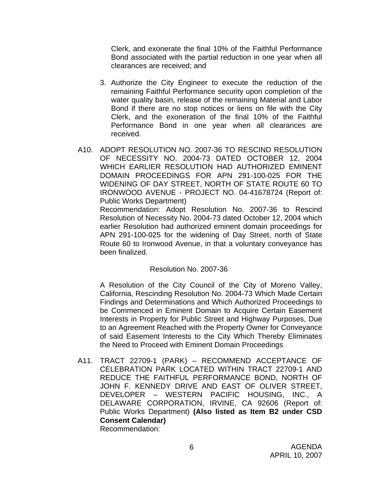Clerk, and exonerate the final 10% of the Faithful Performance Bond associated with the partial reduction in one year when all clearances are received; and

- 3. Authorize the City Engineer to execute the reduction of the remaining Faithful Performance security upon completion of the water quality basin, release of the remaining Material and Labor Bond if there are no stop notices or liens on file with the City Clerk, and the exoneration of the final 10% of the Faithful Performance Bond in one year when all clearances are received.
- A10. ADOPT RESOLUTION NO. 2007-36 TO RESCIND RESOLUTION OF NECESSITY NO. 2004-73 DATED OCTOBER 12, 2004 WHICH EARLIER RESOLUTION HAD AUTHORIZED EMINENT DOMAIN PROCEEDINGS FOR APN 291-100-025 FOR THE WIDENING OF DAY STREET, NORTH OF STATE ROUTE 60 TO IRONWOOD AVENUE - PROJECT NO. 04-41678724 (Report of: Public Works Department)

 Recommendation: Adopt Resolution No. 2007-36 to Rescind Resolution of Necessity No. 2004-73 dated October 12, 2004 which earlier Resolution had authorized eminent domain proceedings for APN 291-100-025 for the widening of Day Street, north of State Route 60 to Ironwood Avenue, in that a voluntary conveyance has been finalized.

#### Resolution No. 2007-36

A Resolution of the City Council of the City of Moreno Valley, California, Rescinding Resolution No. 2004-73 Which Made Certain Findings and Determinations and Which Authorized Proceedings to be Commenced in Eminent Domain to Acquire Certain Easement Interests in Property for Public Street and Highway Purposes, Due to an Agreement Reached with the Property Owner for Conveyance of said Easement Interests to the City Which Thereby Eliminates the Need to Proceed with Eminent Domain Proceedings

A11. TRACT 22709-1 (PARK) – RECOMMEND ACCEPTANCE OF CELEBRATION PARK LOCATED WITHIN TRACT 22709-1 AND REDUCE THE FAITHFUL PERFORMANCE BOND, NORTH OF JOHN F. KENNEDY DRIVE AND EAST OF OLIVER STREET, DEVELOPER – WESTERN PACIFIC HOUSING, INC., A DELAWARE CORPORATION, IRVINE, CA 92606 (Report of: Public Works Department) **(Also listed as Item B2 under CSD Consent Calendar)** 

Recommendation: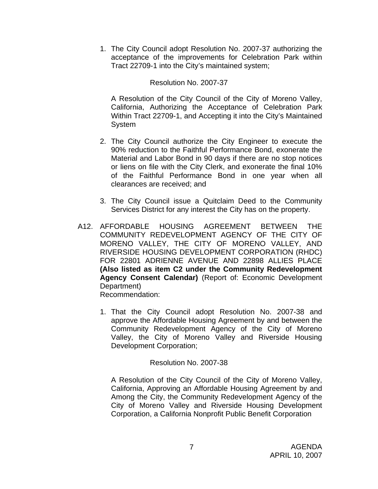1. The City Council adopt Resolution No. 2007-37 authorizing the acceptance of the improvements for Celebration Park within Tract 22709-1 into the City's maintained system;

## Resolution No. 2007-37

A Resolution of the City Council of the City of Moreno Valley, California, Authorizing the Acceptance of Celebration Park Within Tract 22709-1, and Accepting it into the City's Maintained System

- 2. The City Council authorize the City Engineer to execute the 90% reduction to the Faithful Performance Bond, exonerate the Material and Labor Bond in 90 days if there are no stop notices or liens on file with the City Clerk, and exonerate the final 10% of the Faithful Performance Bond in one year when all clearances are received; and
- 3. The City Council issue a Quitclaim Deed to the Community Services District for any interest the City has on the property.
- A12. AFFORDABLE HOUSING AGREEMENT BETWEEN THE COMMUNITY REDEVELOPMENT AGENCY OF THE CITY OF MORENO VALLEY, THE CITY OF MORENO VALLEY, AND RIVERSIDE HOUSING DEVELOPMENT CORPORATION (RHDC) FOR 22801 ADRIENNE AVENUE AND 22898 ALLIES PLACE **(Also listed as item C2 under the Community Redevelopment Agency Consent Calendar)** (Report of: Economic Development Department) Recommendation:
	- 1. That the City Council adopt Resolution No. 2007-38 and approve the Affordable Housing Agreement by and between the Community Redevelopment Agency of the City of Moreno Valley, the City of Moreno Valley and Riverside Housing Development Corporation;

#### Resolution No. 2007-38

A Resolution of the City Council of the City of Moreno Valley, California, Approving an Affordable Housing Agreement by and Among the City, the Community Redevelopment Agency of the City of Moreno Valley and Riverside Housing Development Corporation, a California Nonprofit Public Benefit Corporation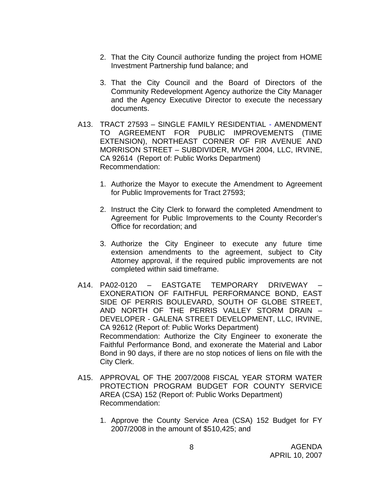- 2. That the City Council authorize funding the project from HOME Investment Partnership fund balance; and
- 3. That the City Council and the Board of Directors of the Community Redevelopment Agency authorize the City Manager and the Agency Executive Director to execute the necessary documents.
- A13. TRACT 27593 SINGLE FAMILY RESIDENTIAL AMENDMENT TO AGREEMENT FOR PUBLIC IMPROVEMENTS (TIME EXTENSION), NORTHEAST CORNER OF FIR AVENUE AND MORRISON STREET – SUBDIVIDER, MVGH 2004, LLC, IRVINE, CA 92614 (Report of: Public Works Department) Recommendation:
	- 1. Authorize the Mayor to execute the Amendment to Agreement for Public Improvements for Tract 27593;
	- 2. Instruct the City Clerk to forward the completed Amendment to Agreement for Public Improvements to the County Recorder's Office for recordation; and
	- 3. Authorize the City Engineer to execute any future time extension amendments to the agreement, subject to City Attorney approval, if the required public improvements are not completed within said timeframe.
- A14. PA02-0120 EASTGATE TEMPORARY DRIVEWAY EXONERATION OF FAITHFUL PERFORMANCE BOND, EAST SIDE OF PERRIS BOULEVARD, SOUTH OF GLOBE STREET, AND NORTH OF THE PERRIS VALLEY STORM DRAIN – DEVELOPER - GALENA STREET DEVELOPMENT, LLC, IRVINE, CA 92612 (Report of: Public Works Department) Recommendation: Authorize the City Engineer to exonerate the Faithful Performance Bond, and exonerate the Material and Labor Bond in 90 days, if there are no stop notices of liens on file with the City Clerk.
- A15. APPROVAL OF THE 2007/2008 FISCAL YEAR STORM WATER PROTECTION PROGRAM BUDGET FOR COUNTY SERVICE AREA (CSA) 152 (Report of: Public Works Department) Recommendation:
	- 1. Approve the County Service Area (CSA) 152 Budget for FY 2007/2008 in the amount of \$510,425; and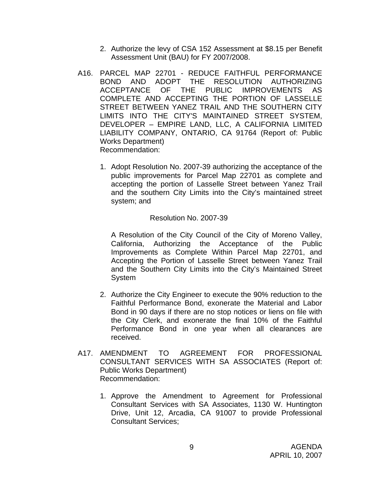- 2. Authorize the levy of CSA 152 Assessment at \$8.15 per Benefit Assessment Unit (BAU) for FY 2007/2008.
- A16. PARCEL MAP 22701 REDUCE FAITHFUL PERFORMANCE BOND AND ADOPT THE RESOLUTION AUTHORIZING ACCEPTANCE OF THE PUBLIC IMPROVEMENTS AS COMPLETE AND ACCEPTING THE PORTION OF LASSELLE STREET BETWEEN YANEZ TRAIL AND THE SOUTHERN CITY LIMITS INTO THE CITY'S MAINTAINED STREET SYSTEM, DEVELOPER – EMPIRE LAND, LLC, A CALIFORNIA LIMITED LIABILITY COMPANY, ONTARIO, CA 91764 (Report of: Public Works Department) Recommendation:
	- 1. Adopt Resolution No. 2007-39 authorizing the acceptance of the public improvements for Parcel Map 22701 as complete and accepting the portion of Lasselle Street between Yanez Trail and the southern City Limits into the City's maintained street system; and

#### Resolution No. 2007-39

A Resolution of the City Council of the City of Moreno Valley, California, Authorizing the Acceptance of the Public Improvements as Complete Within Parcel Map 22701, and Accepting the Portion of Lasselle Street between Yanez Trail and the Southern City Limits into the City's Maintained Street System

- 2. Authorize the City Engineer to execute the 90% reduction to the Faithful Performance Bond, exonerate the Material and Labor Bond in 90 days if there are no stop notices or liens on file with the City Clerk, and exonerate the final 10% of the Faithful Performance Bond in one year when all clearances are received.
- A17. AMENDMENT TO AGREEMENT FOR PROFESSIONAL CONSULTANT SERVICES WITH SA ASSOCIATES (Report of: Public Works Department) Recommendation:
	- 1. Approve the Amendment to Agreement for Professional Consultant Services with SA Associates, 1130 W. Huntington Drive, Unit 12, Arcadia, CA 91007 to provide Professional Consultant Services;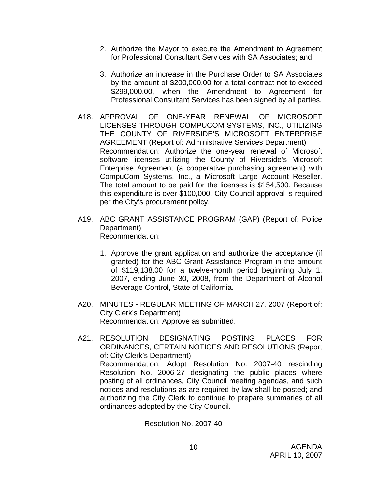- 2. Authorize the Mayor to execute the Amendment to Agreement for Professional Consultant Services with SA Associates; and
- 3. Authorize an increase in the Purchase Order to SA Associates by the amount of \$200,000.00 for a total contract not to exceed \$299,000.00, when the Amendment to Agreement for Professional Consultant Services has been signed by all parties.
- A18. APPROVAL OF ONE-YEAR RENEWAL OF MICROSOFT LICENSES THROUGH COMPUCOM SYSTEMS, INC., UTILIZING THE COUNTY OF RIVERSIDE'S MICROSOFT ENTERPRISE AGREEMENT (Report of: Administrative Services Department) Recommendation: Authorize the one-year renewal of Microsoft software licenses utilizing the County of Riverside's Microsoft Enterprise Agreement (a cooperative purchasing agreement) with CompuCom Systems, Inc., a Microsoft Large Account Reseller. The total amount to be paid for the licenses is \$154,500. Because this expenditure is over \$100,000, City Council approval is required per the City's procurement policy.
- A19. ABC GRANT ASSISTANCE PROGRAM (GAP) (Report of: Police Department) Recommendation:
	- 1. Approve the grant application and authorize the acceptance (if granted) for the ABC Grant Assistance Program in the amount of \$119,138.00 for a twelve-month period beginning July 1, 2007, ending June 30, 2008, from the Department of Alcohol Beverage Control, State of California.
- A20. MINUTES REGULAR MEETING OF MARCH 27, 2007 (Report of: City Clerk's Department) Recommendation: Approve as submitted.
- A21. RESOLUTION DESIGNATING POSTING PLACES FOR ORDINANCES, CERTAIN NOTICES AND RESOLUTIONS (Report of: City Clerk's Department) Recommendation: Adopt Resolution No. 2007-40 rescinding Resolution No. 2006-27 designating the public places where posting of all ordinances, City Council meeting agendas, and such notices and resolutions as are required by law shall be posted; and authorizing the City Clerk to continue to prepare summaries of all ordinances adopted by the City Council.

Resolution No. 2007-40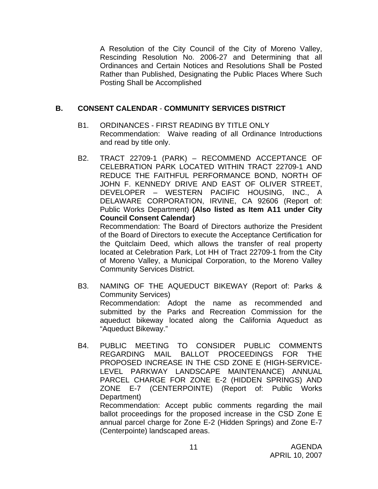A Resolution of the City Council of the City of Moreno Valley, Rescinding Resolution No. 2006-27 and Determining that all Ordinances and Certain Notices and Resolutions Shall be Posted Rather than Published, Designating the Public Places Where Such Posting Shall be Accomplished

## **B. CONSENT CALENDAR** - **COMMUNITY SERVICES DISTRICT**

- B1. ORDINANCES FIRST READING BY TITLE ONLY Recommendation: Waive reading of all Ordinance Introductions and read by title only.
- B2. TRACT 22709-1 (PARK) RECOMMEND ACCEPTANCE OF CELEBRATION PARK LOCATED WITHIN TRACT 22709-1 AND REDUCE THE FAITHFUL PERFORMANCE BOND, NORTH OF JOHN F. KENNEDY DRIVE AND EAST OF OLIVER STREET, DEVELOPER – WESTERN PACIFIC HOUSING, INC., A DELAWARE CORPORATION, IRVINE, CA 92606 (Report of: Public Works Department) **(Also listed as Item A11 under City Council Consent Calendar)**

 Recommendation: The Board of Directors authorize the President of the Board of Directors to execute the Acceptance Certification for the Quitclaim Deed, which allows the transfer of real property located at Celebration Park, Lot HH of Tract 22709-1 from the City of Moreno Valley, a Municipal Corporation, to the Moreno Valley Community Services District.

- B3. NAMING OF THE AQUEDUCT BIKEWAY (Report of: Parks & Community Services) Recommendation: Adopt the name as recommended and submitted by the Parks and Recreation Commission for the aqueduct bikeway located along the California Aqueduct as "Aqueduct Bikeway."
- B4. PUBLIC MEETING TO CONSIDER PUBLIC COMMENTS REGARDING MAIL BALLOT PROCEEDINGS FOR THE PROPOSED INCREASE IN THE CSD ZONE E (HIGH-SERVICE-LEVEL PARKWAY LANDSCAPE MAINTENANCE) ANNUAL PARCEL CHARGE FOR ZONE E-2 (HIDDEN SPRINGS) AND ZONE E-7 (CENTERPOINTE) (Report of: Public Works Department)

 Recommendation: Accept public comments regarding the mail ballot proceedings for the proposed increase in the CSD Zone E annual parcel charge for Zone E-2 (Hidden Springs) and Zone E-7 (Centerpointe) landscaped areas.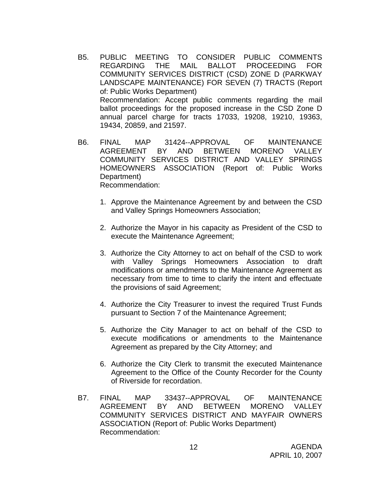- B5. PUBLIC MEETING TO CONSIDER PUBLIC COMMENTS REGARDING THE MAIL BALLOT PROCEEDING FOR COMMUNITY SERVICES DISTRICT (CSD) ZONE D (PARKWAY LANDSCAPE MAINTENANCE) FOR SEVEN (7) TRACTS (Report of: Public Works Department) Recommendation: Accept public comments regarding the mail ballot proceedings for the proposed increase in the CSD Zone D annual parcel charge for tracts 17033, 19208, 19210, 19363, 19434, 20859, and 21597.
- B6. FINAL MAP 31424--APPROVAL OF MAINTENANCE AGREEMENT BY AND BETWEEN MORENO VALLEY COMMUNITY SERVICES DISTRICT AND VALLEY SPRINGS HOMEOWNERS ASSOCIATION (Report of: Public Works Department) Recommendation:
	- 1. Approve the Maintenance Agreement by and between the CSD and Valley Springs Homeowners Association;
	- 2. Authorize the Mayor in his capacity as President of the CSD to execute the Maintenance Agreement;
	- 3. Authorize the City Attorney to act on behalf of the CSD to work with Valley Springs Homeowners Association to draft modifications or amendments to the Maintenance Agreement as necessary from time to time to clarify the intent and effectuate the provisions of said Agreement;
	- 4. Authorize the City Treasurer to invest the required Trust Funds pursuant to Section 7 of the Maintenance Agreement;
	- 5. Authorize the City Manager to act on behalf of the CSD to execute modifications or amendments to the Maintenance Agreement as prepared by the City Attorney; and
	- 6. Authorize the City Clerk to transmit the executed Maintenance Agreement to the Office of the County Recorder for the County of Riverside for recordation.
- B7. FINAL MAP 33437--APPROVAL OF MAINTENANCE AGREEMENT BY AND BETWEEN MORENO VALLEY COMMUNITY SERVICES DISTRICT AND MAYFAIR OWNERS ASSOCIATION (Report of: Public Works Department) Recommendation: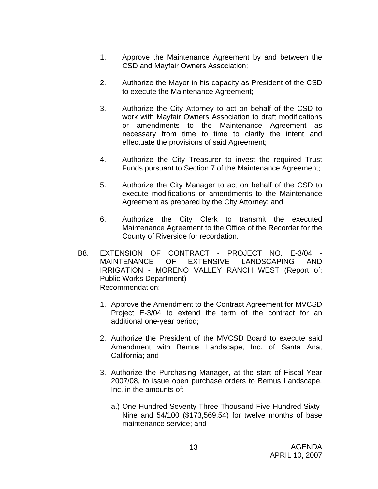- 1. Approve the Maintenance Agreement by and between the CSD and Mayfair Owners Association;
- 2. Authorize the Mayor in his capacity as President of the CSD to execute the Maintenance Agreement;
- 3. Authorize the City Attorney to act on behalf of the CSD to work with Mayfair Owners Association to draft modifications or amendments to the Maintenance Agreement as necessary from time to time to clarify the intent and effectuate the provisions of said Agreement;
- 4. Authorize the City Treasurer to invest the required Trust Funds pursuant to Section 7 of the Maintenance Agreement;
- 5. Authorize the City Manager to act on behalf of the CSD to execute modifications or amendments to the Maintenance Agreement as prepared by the City Attorney; and
- 6. Authorize the City Clerk to transmit the executed Maintenance Agreement to the Office of the Recorder for the County of Riverside for recordation.
- B8. EXTENSION OF CONTRACT PROJECT NO. E-3/04 MAINTENANCE OF EXTENSIVE LANDSCAPING AND IRRIGATION - MORENO VALLEY RANCH WEST (Report of: Public Works Department) Recommendation:
	- 1. Approve the Amendment to the Contract Agreement for MVCSD Project E-3/04 to extend the term of the contract for an additional one-year period;
	- 2. Authorize the President of the MVCSD Board to execute said Amendment with Bemus Landscape, Inc. of Santa Ana, California; and
	- 3. Authorize the Purchasing Manager, at the start of Fiscal Year 2007/08, to issue open purchase orders to Bemus Landscape, Inc. in the amounts of:
		- a.) One Hundred Seventy-Three Thousand Five Hundred Sixty-Nine and 54/100 (\$173,569.54) for twelve months of base maintenance service; and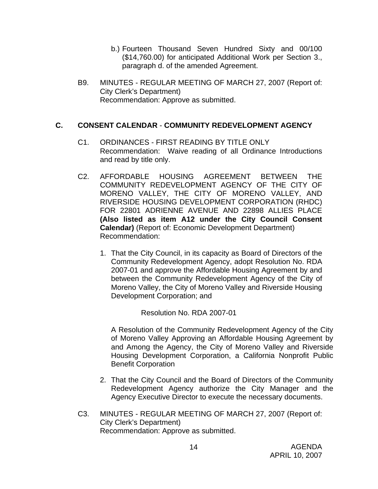- b.) Fourteen Thousand Seven Hundred Sixty and 00/100 (\$14,760.00) for anticipated Additional Work per Section 3., paragraph d. of the amended Agreement.
- B9. MINUTES REGULAR MEETING OF MARCH 27, 2007 (Report of: City Clerk's Department) Recommendation: Approve as submitted.

## **C. CONSENT CALENDAR** - **COMMUNITY REDEVELOPMENT AGENCY**

- C1. ORDINANCES FIRST READING BY TITLE ONLY Recommendation: Waive reading of all Ordinance Introductions and read by title only.
- C2. AFFORDABLE HOUSING AGREEMENT BETWEEN THE COMMUNITY REDEVELOPMENT AGENCY OF THE CITY OF MORENO VALLEY, THE CITY OF MORENO VALLEY, AND RIVERSIDE HOUSING DEVELOPMENT CORPORATION (RHDC) FOR 22801 ADRIENNE AVENUE AND 22898 ALLIES PLACE **(Also listed as item A12 under the City Council Consent Calendar)** (Report of: Economic Development Department) Recommendation:
	- 1. That the City Council, in its capacity as Board of Directors of the Community Redevelopment Agency, adopt Resolution No. RDA 2007-01 and approve the Affordable Housing Agreement by and between the Community Redevelopment Agency of the City of Moreno Valley, the City of Moreno Valley and Riverside Housing Development Corporation; and

Resolution No. RDA 2007-01

A Resolution of the Community Redevelopment Agency of the City of Moreno Valley Approving an Affordable Housing Agreement by and Among the Agency, the City of Moreno Valley and Riverside Housing Development Corporation, a California Nonprofit Public Benefit Corporation

- 2. That the City Council and the Board of Directors of the Community Redevelopment Agency authorize the City Manager and the Agency Executive Director to execute the necessary documents.
- C3. MINUTES REGULAR MEETING OF MARCH 27, 2007 (Report of: City Clerk's Department) Recommendation: Approve as submitted.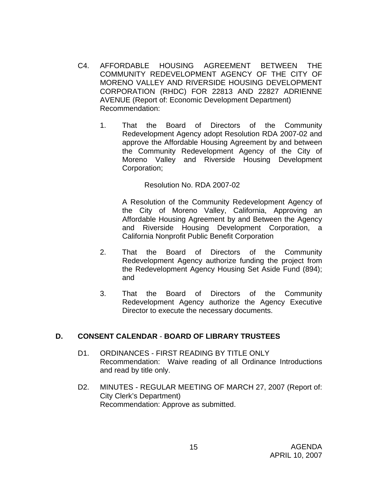- C4. AFFORDABLE HOUSING AGREEMENT BETWEEN THE COMMUNITY REDEVELOPMENT AGENCY OF THE CITY OF MORENO VALLEY AND RIVERSIDE HOUSING DEVELOPMENT CORPORATION (RHDC) FOR 22813 AND 22827 ADRIENNE AVENUE (Report of: Economic Development Department) Recommendation:
	- 1. That the Board of Directors of the Community Redevelopment Agency adopt Resolution RDA 2007-02 and approve the Affordable Housing Agreement by and between the Community Redevelopment Agency of the City of Moreno Valley and Riverside Housing Development Corporation;

#### Resolution No. RDA 2007-02

A Resolution of the Community Redevelopment Agency of the City of Moreno Valley, California, Approving an Affordable Housing Agreement by and Between the Agency and Riverside Housing Development Corporation, a California Nonprofit Public Benefit Corporation

- 2. That the Board of Directors of the Community Redevelopment Agency authorize funding the project from the Redevelopment Agency Housing Set Aside Fund (894); and
- 3. That the Board of Directors of the Community Redevelopment Agency authorize the Agency Executive Director to execute the necessary documents.

# **D. CONSENT CALENDAR** - **BOARD OF LIBRARY TRUSTEES**

- D1. ORDINANCES FIRST READING BY TITLE ONLY Recommendation: Waive reading of all Ordinance Introductions and read by title only.
- D2. MINUTES REGULAR MEETING OF MARCH 27, 2007 (Report of: City Clerk's Department) Recommendation: Approve as submitted.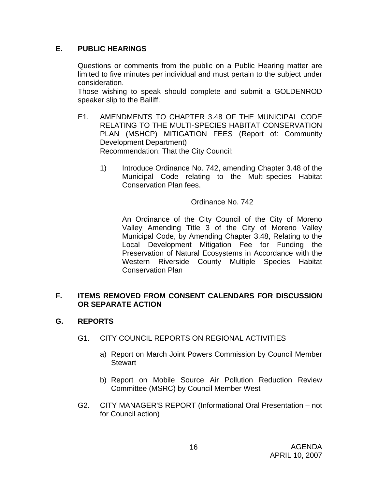# **E. PUBLIC HEARINGS**

Questions or comments from the public on a Public Hearing matter are limited to five minutes per individual and must pertain to the subject under consideration.

 Those wishing to speak should complete and submit a GOLDENROD speaker slip to the Bailiff.

- E1. AMENDMENTS TO CHAPTER 3.48 OF THE MUNICIPAL CODE RELATING TO THE MULTI-SPECIES HABITAT CONSERVATION PLAN (MSHCP) MITIGATION FEES (Report of: Community Development Department) Recommendation: That the City Council:
	- 1) Introduce Ordinance No. 742, amending Chapter 3.48 of the Municipal Code relating to the Multi-species Habitat Conservation Plan fees.

Ordinance No. 742

An Ordinance of the City Council of the City of Moreno Valley Amending Title 3 of the City of Moreno Valley Municipal Code, by Amending Chapter 3.48, Relating to the Local Development Mitigation Fee for Funding the Preservation of Natural Ecosystems in Accordance with the Western Riverside County Multiple Species Habitat Conservation Plan

## **F. ITEMS REMOVED FROM CONSENT CALENDARS FOR DISCUSSION OR SEPARATE ACTION**

# **G. REPORTS**

- G1. CITY COUNCIL REPORTS ON REGIONAL ACTIVITIES
	- a) Report on March Joint Powers Commission by Council Member **Stewart**
	- b) Report on Mobile Source Air Pollution Reduction Review Committee (MSRC) by Council Member West
- G2. CITY MANAGER'S REPORT (Informational Oral Presentation not for Council action)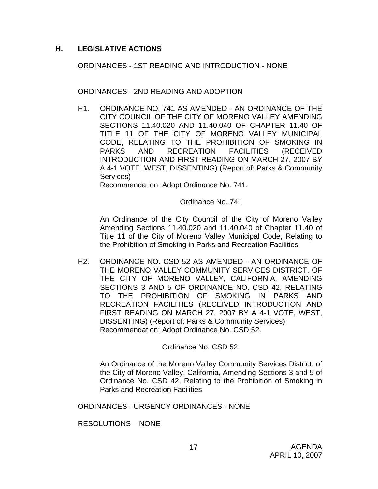## **H. LEGISLATIVE ACTIONS**

ORDINANCES - 1ST READING AND INTRODUCTION - NONE

ORDINANCES - 2ND READING AND ADOPTION

H1. ORDINANCE NO. 741 AS AMENDED - AN ORDINANCE OF THE CITY COUNCIL OF THE CITY OF MORENO VALLEY AMENDING SECTIONS 11.40.020 AND 11.40.040 OF CHAPTER 11.40 OF TITLE 11 OF THE CITY OF MORENO VALLEY MUNICIPAL CODE, RELATING TO THE PROHIBITION OF SMOKING IN PARKS AND RECREATION FACILITIES (RECEIVED INTRODUCTION AND FIRST READING ON MARCH 27, 2007 BY A 4-1 VOTE, WEST, DISSENTING) (Report of: Parks & Community Services)

Recommendation: Adopt Ordinance No. 741.

Ordinance No. 741

An Ordinance of the City Council of the City of Moreno Valley Amending Sections 11.40.020 and 11.40.040 of Chapter 11.40 of Title 11 of the City of Moreno Valley Municipal Code, Relating to the Prohibition of Smoking in Parks and Recreation Facilities

H2. ORDINANCE NO. CSD 52 AS AMENDED - AN ORDINANCE OF THE MORENO VALLEY COMMUNITY SERVICES DISTRICT, OF THE CITY OF MORENO VALLEY, CALIFORNIA, AMENDING SECTIONS 3 AND 5 OF ORDINANCE NO. CSD 42, RELATING TO THE PROHIBITION OF SMOKING IN PARKS AND RECREATION FACILITIES (RECEIVED INTRODUCTION AND FIRST READING ON MARCH 27, 2007 BY A 4-1 VOTE, WEST, DISSENTING) (Report of: Parks & Community Services) Recommendation: Adopt Ordinance No. CSD 52.

Ordinance No. CSD 52

 An Ordinance of the Moreno Valley Community Services District, of the City of Moreno Valley, California, Amending Sections 3 and 5 of Ordinance No. CSD 42, Relating to the Prohibition of Smoking in Parks and Recreation Facilities

ORDINANCES - URGENCY ORDINANCES - NONE

RESOLUTIONS – NONE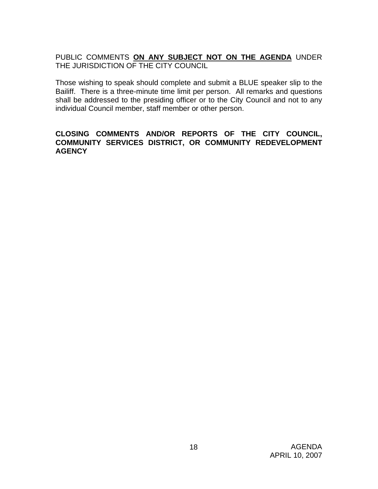# PUBLIC COMMENTS **ON ANY SUBJECT NOT ON THE AGENDA** UNDER THE JURISDICTION OF THE CITY COUNCIL

Those wishing to speak should complete and submit a BLUE speaker slip to the Bailiff. There is a three-minute time limit per person. All remarks and questions shall be addressed to the presiding officer or to the City Council and not to any individual Council member, staff member or other person.

#### **CLOSING COMMENTS AND/OR REPORTS OF THE CITY COUNCIL, COMMUNITY SERVICES DISTRICT, OR COMMUNITY REDEVELOPMENT AGENCY**